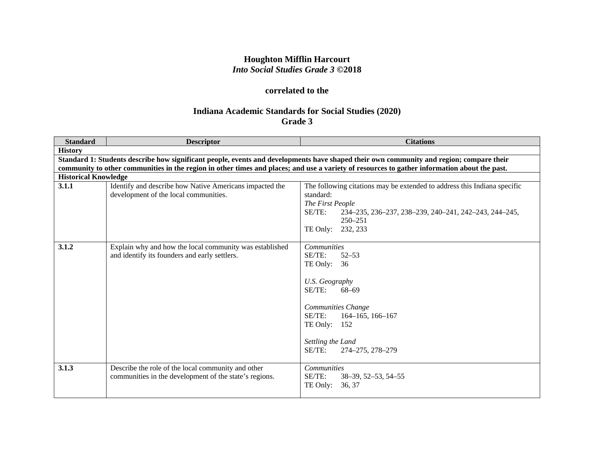# **Houghton Mifflin Harcourt** *Into Social Studies Grade 3* **©2018**

# **correlated to the**

# **Indiana Academic Standards for Social Studies (2020) Grade 3**

| <b>Standard</b>                                                                                                                         | <b>Descriptor</b>                                                                                                                            | <b>Citations</b>                                                         |  |
|-----------------------------------------------------------------------------------------------------------------------------------------|----------------------------------------------------------------------------------------------------------------------------------------------|--------------------------------------------------------------------------|--|
| <b>History</b>                                                                                                                          |                                                                                                                                              |                                                                          |  |
| Standard 1: Students describe how significant people, events and developments have shaped their own community and region; compare their |                                                                                                                                              |                                                                          |  |
|                                                                                                                                         | community to other communities in the region in other times and places; and use a variety of resources to gather information about the past. |                                                                          |  |
| <b>Historical Knowledge</b>                                                                                                             |                                                                                                                                              |                                                                          |  |
| 3.1.1                                                                                                                                   | Identify and describe how Native Americans impacted the                                                                                      | The following citations may be extended to address this Indiana specific |  |
|                                                                                                                                         | development of the local communities.                                                                                                        | standard:                                                                |  |
|                                                                                                                                         |                                                                                                                                              | The First People                                                         |  |
|                                                                                                                                         |                                                                                                                                              | SE/TE:<br>234-235, 236-237, 238-239, 240-241, 242-243, 244-245,          |  |
|                                                                                                                                         |                                                                                                                                              | $250 - 251$                                                              |  |
|                                                                                                                                         |                                                                                                                                              | 232, 233<br>TE Only:                                                     |  |
| 3.1.2                                                                                                                                   | Explain why and how the local community was established                                                                                      | <b>Communities</b>                                                       |  |
|                                                                                                                                         | and identify its founders and early settlers.                                                                                                | SE/TE:<br>$52 - 53$                                                      |  |
|                                                                                                                                         |                                                                                                                                              | TE Only: $36$                                                            |  |
|                                                                                                                                         |                                                                                                                                              |                                                                          |  |
|                                                                                                                                         |                                                                                                                                              | U.S. Geography                                                           |  |
|                                                                                                                                         |                                                                                                                                              | $SE/TE$ :<br>$68 - 69$                                                   |  |
|                                                                                                                                         |                                                                                                                                              |                                                                          |  |
|                                                                                                                                         |                                                                                                                                              | Communities Change                                                       |  |
|                                                                                                                                         |                                                                                                                                              | SE/TE:<br>$164 - 165$ , $166 - 167$                                      |  |
|                                                                                                                                         |                                                                                                                                              | TE Only: $152$                                                           |  |
|                                                                                                                                         |                                                                                                                                              |                                                                          |  |
|                                                                                                                                         |                                                                                                                                              | Settling the Land                                                        |  |
|                                                                                                                                         |                                                                                                                                              | SE/TE:<br>274-275, 278-279                                               |  |
|                                                                                                                                         |                                                                                                                                              |                                                                          |  |
| 3.1.3                                                                                                                                   | Describe the role of the local community and other                                                                                           | <b>Communities</b>                                                       |  |
|                                                                                                                                         | communities in the development of the state's regions.                                                                                       | SE/TE:<br>38-39, 52-53, 54-55                                            |  |
|                                                                                                                                         |                                                                                                                                              | TE Only:<br>36, 37                                                       |  |
|                                                                                                                                         |                                                                                                                                              |                                                                          |  |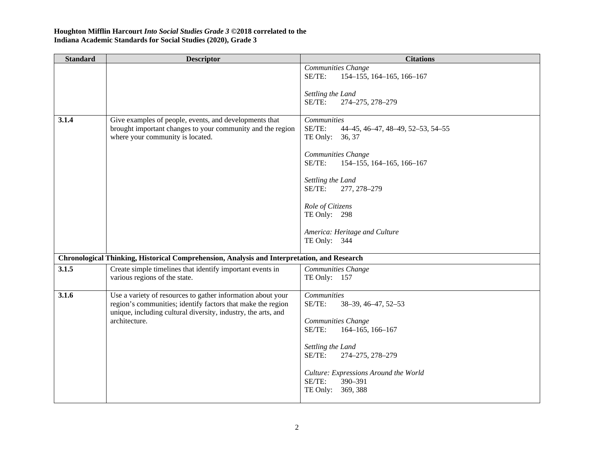| <b>Standard</b> | <b>Descriptor</b>                                                                                                                                                                                            | <b>Citations</b>                                                                |
|-----------------|--------------------------------------------------------------------------------------------------------------------------------------------------------------------------------------------------------------|---------------------------------------------------------------------------------|
|                 |                                                                                                                                                                                                              | Communities Change<br>SE/TE:<br>154-155, 164-165, 166-167                       |
|                 |                                                                                                                                                                                                              | Settling the Land<br>SE/TE:<br>274-275, 278-279                                 |
| 3.1.4           | Give examples of people, events, and developments that<br>brought important changes to your community and the region<br>where your community is located.                                                     | Communities<br>SE/TE:<br>44-45, 46-47, 48-49, 52-53, 54-55<br>TE Only: 36, 37   |
|                 |                                                                                                                                                                                                              | Communities Change<br>SE/TE:<br>154-155, 164-165, 166-167                       |
|                 |                                                                                                                                                                                                              | Settling the Land<br>SE/TE:<br>277, 278-279                                     |
|                 |                                                                                                                                                                                                              | Role of Citizens<br>TE Only: 298                                                |
|                 |                                                                                                                                                                                                              | America: Heritage and Culture<br>TE Only: 344                                   |
|                 | Chronological Thinking, Historical Comprehension, Analysis and Interpretation, and Research                                                                                                                  |                                                                                 |
| 3.1.5           | Create simple timelines that identify important events in<br>various regions of the state.                                                                                                                   | Communities Change<br>TE Only: 157                                              |
| 3.1.6           | Use a variety of resources to gather information about your<br>region's communities; identify factors that make the region<br>unique, including cultural diversity, industry, the arts, and<br>architecture. | <b>Communities</b><br>SE/TE:<br>38-39, 46-47, 52-53<br>Communities Change       |
|                 |                                                                                                                                                                                                              | SE/TE:<br>164-165, 166-167<br>Settling the Land                                 |
|                 |                                                                                                                                                                                                              | SE/TE:<br>274-275, 278-279                                                      |
|                 |                                                                                                                                                                                                              | Culture: Expressions Around the World<br>SE/TE:<br>390-391<br>TE Only: 369, 388 |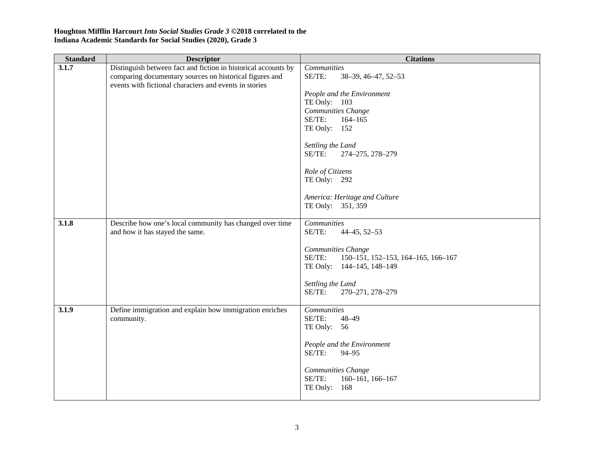| <b>Standard</b> | <b>Descriptor</b>                                                                                                                                                                   | <b>Citations</b>                                                                                                                                                                                                                                                                                       |
|-----------------|-------------------------------------------------------------------------------------------------------------------------------------------------------------------------------------|--------------------------------------------------------------------------------------------------------------------------------------------------------------------------------------------------------------------------------------------------------------------------------------------------------|
| 3.1.7           | Distinguish between fact and fiction in historical accounts by<br>comparing documentary sources on historical figures and<br>events with fictional characters and events in stories | Communities<br>SE/TE:<br>38-39, 46-47, 52-53<br>People and the Environment<br>TE Only: 103<br>Communities Change<br>SE/TE:<br>$164 - 165$<br>TE Only: 152<br>Settling the Land<br>SE/TE:<br>274-275, 278-279<br>Role of Citizens<br>TE Only: 292<br>America: Heritage and Culture<br>TE Only: 351, 359 |
| 3.1.8           | Describe how one's local community has changed over time<br>and how it has stayed the same.                                                                                         | Communities<br>SE/TE:<br>$44 - 45, 52 - 53$<br>Communities Change<br>SE/TE:<br>150-151, 152-153, 164-165, 166-167<br>TE Only: 144-145, 148-149<br>Settling the Land<br>SE/TE:<br>270-271, 278-279                                                                                                      |
| 3.1.9           | Define immigration and explain how immigration enriches<br>community.                                                                                                               | <b>Communities</b><br>SE/TE:<br>$48 - 49$<br>TE Only: 56<br>People and the Environment<br>SE/TE:<br>$94 - 95$<br>Communities Change<br>SE/TE:<br>160-161, 166-167<br>TE Only: 168                                                                                                                      |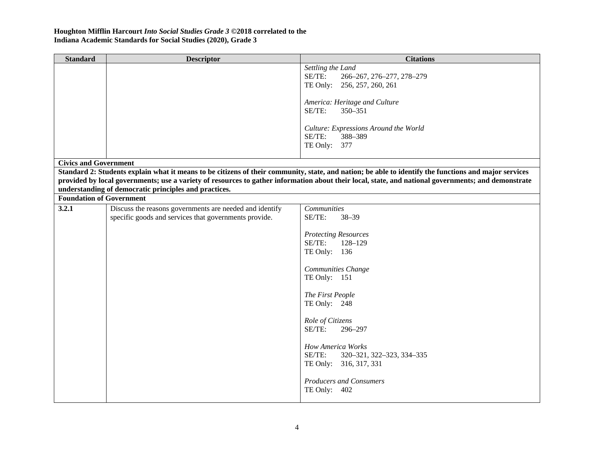| <b>Standard</b>                 | <b>Descriptor</b>                                       | <b>Citations</b>                                                                                                                                      |
|---------------------------------|---------------------------------------------------------|-------------------------------------------------------------------------------------------------------------------------------------------------------|
|                                 |                                                         | Settling the Land                                                                                                                                     |
|                                 |                                                         | SE/TE:<br>266-267, 276-277, 278-279                                                                                                                   |
|                                 |                                                         | TE Only: 256, 257, 260, 261                                                                                                                           |
|                                 |                                                         |                                                                                                                                                       |
|                                 |                                                         | America: Heritage and Culture                                                                                                                         |
|                                 |                                                         | SE/TE:<br>350-351                                                                                                                                     |
|                                 |                                                         |                                                                                                                                                       |
|                                 |                                                         | Culture: Expressions Around the World<br>SE/TE:<br>388-389                                                                                            |
|                                 |                                                         | TE Only: 377                                                                                                                                          |
|                                 |                                                         |                                                                                                                                                       |
| <b>Civics and Government</b>    |                                                         |                                                                                                                                                       |
|                                 |                                                         | Standard 2: Students explain what it means to be citizens of their community, state, and nation; be able to identify the functions and major services |
|                                 |                                                         | provided by local governments; use a variety of resources to gather information about their local, state, and national governments; and demonstrate   |
|                                 | understanding of democratic principles and practices.   |                                                                                                                                                       |
| <b>Foundation of Government</b> |                                                         |                                                                                                                                                       |
| 3.2.1                           | Discuss the reasons governments are needed and identify | Communities                                                                                                                                           |
|                                 | specific goods and services that governments provide.   | SE/TE:<br>$38 - 39$                                                                                                                                   |
|                                 |                                                         |                                                                                                                                                       |
|                                 |                                                         | <b>Protecting Resources</b><br>SE/TE:<br>128-129                                                                                                      |
|                                 |                                                         | TE Only: 136                                                                                                                                          |
|                                 |                                                         |                                                                                                                                                       |
|                                 |                                                         | Communities Change                                                                                                                                    |
|                                 |                                                         | TE Only: 151                                                                                                                                          |
|                                 |                                                         |                                                                                                                                                       |
|                                 |                                                         | The First People                                                                                                                                      |
|                                 |                                                         | TE Only: 248                                                                                                                                          |
|                                 |                                                         |                                                                                                                                                       |
|                                 |                                                         | Role of Citizens                                                                                                                                      |
|                                 |                                                         | SE/TE:<br>296-297                                                                                                                                     |
|                                 |                                                         | <b>How America Works</b>                                                                                                                              |
|                                 |                                                         | $SE/TE$ :<br>320-321, 322-323, 334-335                                                                                                                |
|                                 |                                                         | TE Only: 316, 317, 331                                                                                                                                |
|                                 |                                                         |                                                                                                                                                       |
|                                 |                                                         | <b>Producers and Consumers</b>                                                                                                                        |
|                                 |                                                         | TE Only: 402                                                                                                                                          |
|                                 |                                                         |                                                                                                                                                       |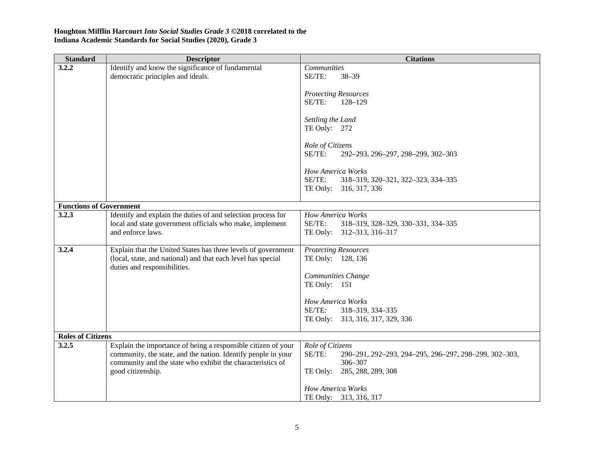| <b>Standard</b>                | <b>Descriptor</b>                                                                                                              | <b>Citations</b>                                                 |
|--------------------------------|--------------------------------------------------------------------------------------------------------------------------------|------------------------------------------------------------------|
| 3.2.2                          | Identify and know the significance of fundamental                                                                              | Communities                                                      |
|                                | democratic principles and ideals.                                                                                              | SE/TE:<br>$38 - 39$                                              |
|                                |                                                                                                                                | <b>Protecting Resources</b>                                      |
|                                |                                                                                                                                | SE/TE:<br>128-129                                                |
|                                |                                                                                                                                |                                                                  |
|                                |                                                                                                                                | Settling the Land<br>TE Only: 272                                |
|                                |                                                                                                                                |                                                                  |
|                                |                                                                                                                                | Role of Citizens                                                 |
|                                |                                                                                                                                | SE/TE:<br>292-293, 296-297, 298-299, 302-303                     |
|                                |                                                                                                                                | <b>How America Works</b>                                         |
|                                |                                                                                                                                | SE/TE:<br>318-319, 320-321, 322-323, 334-335                     |
|                                |                                                                                                                                | TE Only: 316, 317, 336                                           |
| <b>Functions of Government</b> |                                                                                                                                |                                                                  |
| 3.2.3                          | Identify and explain the duties of and selection process for                                                                   | How America Works                                                |
|                                | local and state government officials who make, implement                                                                       | SE/TE:<br>318-319, 328-329, 330-331, 334-335                     |
|                                | and enforce laws.                                                                                                              | TE Only: 312-313, 316-317                                        |
|                                |                                                                                                                                |                                                                  |
| 3.2.4                          | Explain that the United States has three levels of government<br>(local, state, and national) and that each level has special  | <b>Protecting Resources</b><br>TE Only: 128, 136                 |
|                                | duties and responsibilities.                                                                                                   |                                                                  |
|                                |                                                                                                                                | Communities Change                                               |
|                                |                                                                                                                                | TE Only: 151                                                     |
|                                |                                                                                                                                | How America Works                                                |
|                                |                                                                                                                                | SE/TE:<br>318-319, 334-335                                       |
|                                |                                                                                                                                | TE Only: 313, 316, 317, 329, 336                                 |
|                                |                                                                                                                                |                                                                  |
| <b>Roles of Citizens</b>       |                                                                                                                                |                                                                  |
| 3.2.5                          | Explain the importance of being a responsible citizen of your<br>community, the state, and the nation. Identify people in your | Role of Citizens<br>SE/TE:                                       |
|                                | community and the state who exhibit the characteristics of                                                                     | 290-291, 292-293, 294-295, 296-297, 298-299, 302-303,<br>306-307 |
|                                | good citizenship.                                                                                                              | 285, 288, 289, 308<br>TE Only:                                   |
|                                |                                                                                                                                |                                                                  |
|                                |                                                                                                                                | How America Works                                                |
|                                |                                                                                                                                | TE Only: 313, 316, 317                                           |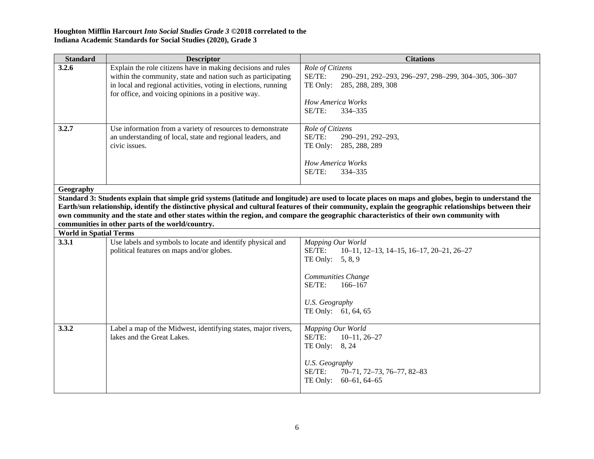| <b>Standard</b>                                                                                                                                                                                                                                                                                                                                                                                                                                                                                              | <b>Descriptor</b>                                                                                                                                                                                                                                     | <b>Citations</b>                                                                                                                                                                                       |  |
|--------------------------------------------------------------------------------------------------------------------------------------------------------------------------------------------------------------------------------------------------------------------------------------------------------------------------------------------------------------------------------------------------------------------------------------------------------------------------------------------------------------|-------------------------------------------------------------------------------------------------------------------------------------------------------------------------------------------------------------------------------------------------------|--------------------------------------------------------------------------------------------------------------------------------------------------------------------------------------------------------|--|
| 3.2.6                                                                                                                                                                                                                                                                                                                                                                                                                                                                                                        | Explain the role citizens have in making decisions and rules<br>within the community, state and nation such as participating<br>in local and regional activities, voting in elections, running<br>for office, and voicing opinions in a positive way. | Role of Citizens<br>SE/TE:<br>290-291, 292-293, 296-297, 298-299, 304-305, 306-307<br>TE Only:<br>285, 288, 289, 308<br><b>How America Works</b><br>SE/TE:<br>334-335                                  |  |
| 3.2.7                                                                                                                                                                                                                                                                                                                                                                                                                                                                                                        | Use information from a variety of resources to demonstrate<br>an understanding of local, state and regional leaders, and<br>civic issues.                                                                                                             | Role of Citizens<br>SE/TE:<br>290-291, 292-293,<br>TE Only: 285, 288, 289<br><b>How America Works</b><br>SE/TE:<br>334-335                                                                             |  |
| Geography                                                                                                                                                                                                                                                                                                                                                                                                                                                                                                    |                                                                                                                                                                                                                                                       |                                                                                                                                                                                                        |  |
| Standard 3: Students explain that simple grid systems (latitude and longitude) are used to locate places on maps and globes, begin to understand the<br>Earth/sun relationship, identify the distinctive physical and cultural features of their community, explain the geographic relationships between their<br>own community and the state and other states within the region, and compare the geographic characteristics of their own community with<br>communities in other parts of the world/country. |                                                                                                                                                                                                                                                       |                                                                                                                                                                                                        |  |
|                                                                                                                                                                                                                                                                                                                                                                                                                                                                                                              | <b>World in Spatial Terms</b>                                                                                                                                                                                                                         |                                                                                                                                                                                                        |  |
| 3.3.1                                                                                                                                                                                                                                                                                                                                                                                                                                                                                                        | Use labels and symbols to locate and identify physical and<br>political features on maps and/or globes.                                                                                                                                               | Mapping Our World<br>SE/TE:<br>$10-11$ , $12-13$ , $14-15$ , $16-17$ , $20-21$ , $26-27$<br>TE Only: $5, 8, 9$<br>Communities Change<br>SE/TE:<br>$166 - 167$<br>U.S. Geography<br>TE Only: 61, 64, 65 |  |
| 3.3.2                                                                                                                                                                                                                                                                                                                                                                                                                                                                                                        | Label a map of the Midwest, identifying states, major rivers,<br>lakes and the Great Lakes.                                                                                                                                                           | Mapping Our World<br>SE/TE:<br>$10-11, 26-27$<br>TE Only: 8, 24<br><b>U.S. Geography</b><br>SE/TE:<br>70-71, 72-73, 76-77, 82-83<br>TE Only: 60-61, 64-65                                              |  |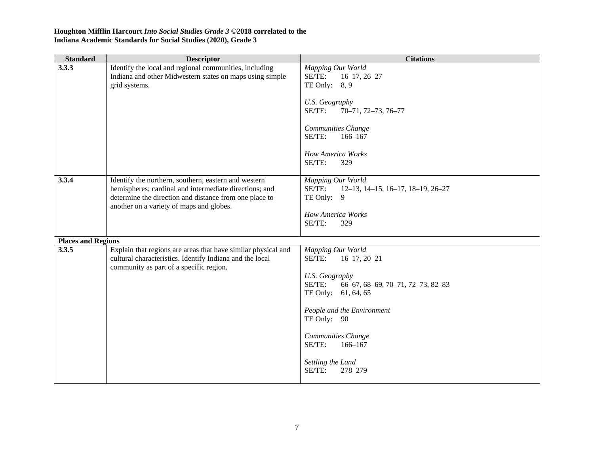| <b>Standard</b>           | <b>Descriptor</b>                                                                                                                                                                                                    | <b>Citations</b>                                                                                                                                                                                                                                                                   |
|---------------------------|----------------------------------------------------------------------------------------------------------------------------------------------------------------------------------------------------------------------|------------------------------------------------------------------------------------------------------------------------------------------------------------------------------------------------------------------------------------------------------------------------------------|
| 3.3.3                     | Identify the local and regional communities, including<br>Indiana and other Midwestern states on maps using simple<br>grid systems.                                                                                  | Mapping Our World<br>SE/TE:<br>$16-17, 26-27$<br>TE Only: $8, 9$<br><b>U.S. Geography</b><br>SE/TE:<br>70-71, 72-73, 76-77<br>Communities Change<br>SE/TE:<br>$166 - 167$<br>How America Works<br>SE/TE:<br>329                                                                    |
| 3.3.4                     | Identify the northern, southern, eastern and western<br>hemispheres; cardinal and intermediate directions; and<br>determine the direction and distance from one place to<br>another on a variety of maps and globes. | Mapping Our World<br>SE/TE:<br>$12-13$ , $14-15$ , $16-17$ , $18-19$ , $26-27$<br>TE Only: 9<br>How America Works<br>SE/TE:<br>329                                                                                                                                                 |
| <b>Places and Regions</b> |                                                                                                                                                                                                                      |                                                                                                                                                                                                                                                                                    |
| 3.3.5                     | Explain that regions are areas that have similar physical and<br>cultural characteristics. Identify Indiana and the local<br>community as part of a specific region.                                                 | Mapping Our World<br>SE/TE:<br>$16-17, 20-21$<br><b>U.S. Geography</b><br>SE/TE:<br>66-67, 68-69, 70-71, 72-73, 82-83<br>TE Only: 61, 64, 65<br>People and the Environment<br>TE Only: 90<br>Communities Change<br>SE/TE:<br>$166 - 167$<br>Settling the Land<br>SE/TE:<br>278-279 |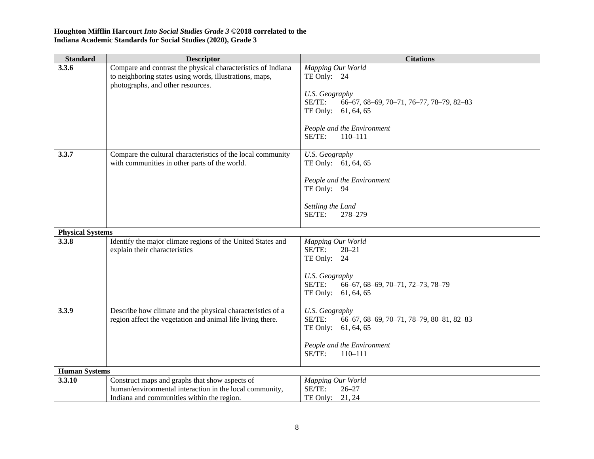| <b>Standard</b>         | <b>Descriptor</b>                                                                                                                                            | <b>Citations</b>                                                                                                                   |
|-------------------------|--------------------------------------------------------------------------------------------------------------------------------------------------------------|------------------------------------------------------------------------------------------------------------------------------------|
| 3.3.6                   | Compare and contrast the physical characteristics of Indiana<br>to neighboring states using words, illustrations, maps,<br>photographs, and other resources. | Mapping Our World<br>TE Only: 24<br>U.S. Geography<br>SE/TE:<br>66-67, 68-69, 70-71, 76-77, 78-79, 82-83<br>TE Only:<br>61, 64, 65 |
|                         |                                                                                                                                                              | People and the Environment<br>SE/TE:<br>$110 - 111$                                                                                |
| 3.3.7                   | Compare the cultural characteristics of the local community<br>with communities in other parts of the world.                                                 | <b>U.S. Geography</b><br>TE Only: 61, 64, 65                                                                                       |
|                         |                                                                                                                                                              | People and the Environment<br>TE Only: 94<br>Settling the Land                                                                     |
|                         |                                                                                                                                                              | SE/TE:<br>278-279                                                                                                                  |
| <b>Physical Systems</b> |                                                                                                                                                              |                                                                                                                                    |
| 3.3.8                   | Identify the major climate regions of the United States and<br>explain their characteristics                                                                 | Mapping Our World<br>SE/TE:<br>$20 - 21$<br>TE Only: 24<br>U.S. Geography<br>SE/TE:<br>66-67, 68-69, 70-71, 72-73, 78-79           |
|                         |                                                                                                                                                              | TE Only:<br>61, 64, 65                                                                                                             |
| 3.3.9                   | Describe how climate and the physical characteristics of a<br>region affect the vegetation and animal life living there.                                     | U.S. Geography<br>SE/TE:<br>66-67, 68-69, 70-71, 78-79, 80-81, 82-83<br>TE Only:<br>61, 64, 65<br>People and the Environment       |
|                         |                                                                                                                                                              | SE/TE:<br>$110 - 111$                                                                                                              |
| <b>Human Systems</b>    |                                                                                                                                                              |                                                                                                                                    |
| 3.3.10                  | Construct maps and graphs that show aspects of<br>human/environmental interaction in the local community,<br>Indiana and communities within the region.      | Mapping Our World<br>SE/TE:<br>$26 - 27$<br>TE Only:<br>21, 24                                                                     |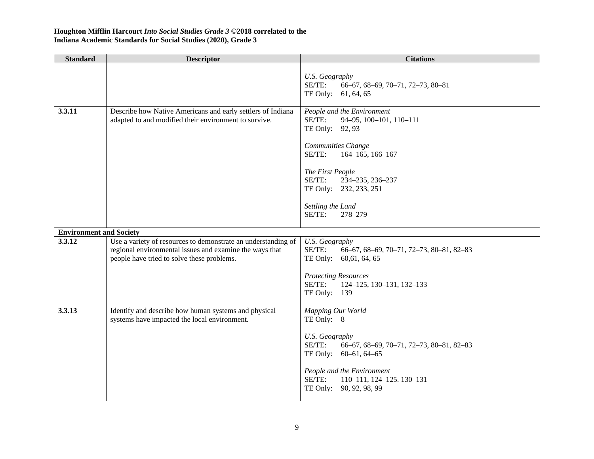| <b>Standard</b>                | <b>Descriptor</b>                                                                                                                                                      | <b>Citations</b>                                                                                                                                                                                                                                                  |
|--------------------------------|------------------------------------------------------------------------------------------------------------------------------------------------------------------------|-------------------------------------------------------------------------------------------------------------------------------------------------------------------------------------------------------------------------------------------------------------------|
|                                |                                                                                                                                                                        | U.S. Geography<br>SE/TE:<br>66-67, 68-69, 70-71, 72-73, 80-81<br>TE Only: 61, 64, 65                                                                                                                                                                              |
| 3.3.11                         | Describe how Native Americans and early settlers of Indiana<br>adapted to and modified their environment to survive.                                                   | People and the Environment<br>SE/TE:<br>94-95, 100-101, 110-111<br>TE Only: 92, 93<br>Communities Change<br>SE/TE:<br>$164 - 165$ , 166-167<br>The First People<br>SE/TE:<br>234-235, 236-237<br>TE Only: 232, 233, 251<br>Settling the Land<br>SE/TE:<br>278-279 |
| <b>Environment and Society</b> |                                                                                                                                                                        |                                                                                                                                                                                                                                                                   |
| 3.3.12                         | Use a variety of resources to demonstrate an understanding of<br>regional environmental issues and examine the ways that<br>people have tried to solve these problems. | <b>U.S. Geography</b><br>SE/TE:<br>66-67, 68-69, 70-71, 72-73, 80-81, 82-83<br>TE Only: 60,61, 64, 65<br><b>Protecting Resources</b><br>SE/TE:<br>124-125, 130-131, 132-133<br>TE Only: 139                                                                       |
| 3.3.13                         | Identify and describe how human systems and physical<br>systems have impacted the local environment.                                                                   | Mapping Our World<br>TE Only: 8<br><b>U.S. Geography</b><br>SE/TE:<br>66-67, 68-69, 70-71, 72-73, 80-81, 82-83<br>TE Only: 60-61, 64-65<br>People and the Environment<br>SE/TE:<br>110-111, 124-125. 130-131<br>TE Only: 90, 92, 98, 99                           |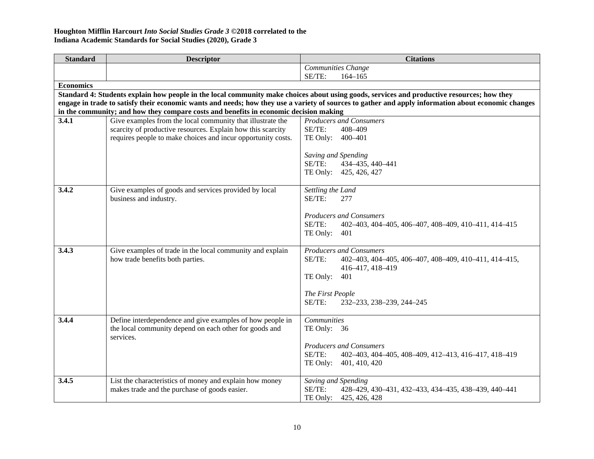| <b>Standard</b>  | <b>Descriptor</b>                                                                                                                                   | <b>Citations</b>                                                                                                                                    |
|------------------|-----------------------------------------------------------------------------------------------------------------------------------------------------|-----------------------------------------------------------------------------------------------------------------------------------------------------|
|                  |                                                                                                                                                     | Communities Change                                                                                                                                  |
|                  |                                                                                                                                                     | SE/TE:<br>$164 - 165$                                                                                                                               |
| <b>Economics</b> |                                                                                                                                                     |                                                                                                                                                     |
|                  |                                                                                                                                                     | Standard 4: Students explain how people in the local community make choices about using goods, services and productive resources; how they          |
|                  |                                                                                                                                                     | engage in trade to satisfy their economic wants and needs; how they use a variety of sources to gather and apply information about economic changes |
| 3.4.1            | in the community; and how they compare costs and benefits in economic decision making<br>Give examples from the local community that illustrate the | <b>Producers and Consumers</b>                                                                                                                      |
|                  | scarcity of productive resources. Explain how this scarcity                                                                                         | SE/TE:<br>408-409                                                                                                                                   |
|                  | requires people to make choices and incur opportunity costs.                                                                                        | TE Only: 400-401                                                                                                                                    |
|                  |                                                                                                                                                     |                                                                                                                                                     |
|                  |                                                                                                                                                     | Saving and Spending                                                                                                                                 |
|                  |                                                                                                                                                     | SE/TE:<br>434-435, 440-441                                                                                                                          |
|                  |                                                                                                                                                     | TE Only: 425, 426, 427                                                                                                                              |
|                  |                                                                                                                                                     |                                                                                                                                                     |
| 3.4.2            | Give examples of goods and services provided by local                                                                                               | Settling the Land                                                                                                                                   |
|                  | business and industry.                                                                                                                              | SE/TE:<br>277                                                                                                                                       |
|                  |                                                                                                                                                     | <b>Producers and Consumers</b>                                                                                                                      |
|                  |                                                                                                                                                     | SE/TE:<br>402-403, 404-405, 406-407, 408-409, 410-411, 414-415                                                                                      |
|                  |                                                                                                                                                     | TE Only:<br>401                                                                                                                                     |
|                  |                                                                                                                                                     |                                                                                                                                                     |
| 3.4.3            | Give examples of trade in the local community and explain                                                                                           | <b>Producers and Consumers</b>                                                                                                                      |
|                  | how trade benefits both parties.                                                                                                                    | $SE/TE$ :<br>402-403, 404-405, 406-407, 408-409, 410-411, 414-415,                                                                                  |
|                  |                                                                                                                                                     | 416-417, 418-419                                                                                                                                    |
|                  |                                                                                                                                                     | TE Only:<br>401                                                                                                                                     |
|                  |                                                                                                                                                     | The First People                                                                                                                                    |
|                  |                                                                                                                                                     | SE/TE:<br>232-233, 238-239, 244-245                                                                                                                 |
|                  |                                                                                                                                                     |                                                                                                                                                     |
| 3.4.4            | Define interdependence and give examples of how people in                                                                                           | <b>Communities</b>                                                                                                                                  |
|                  | the local community depend on each other for goods and                                                                                              | TE Only: 36                                                                                                                                         |
|                  | services.                                                                                                                                           |                                                                                                                                                     |
|                  |                                                                                                                                                     | <b>Producers and Consumers</b>                                                                                                                      |
|                  |                                                                                                                                                     | SE/TE:<br>402-403, 404-405, 408-409, 412-413, 416-417, 418-419                                                                                      |
|                  |                                                                                                                                                     | TE Only: 401, 410, 420                                                                                                                              |
| 3.4.5            | List the characteristics of money and explain how money                                                                                             | Saving and Spending                                                                                                                                 |
|                  | makes trade and the purchase of goods easier.                                                                                                       | SE/TE:<br>428-429, 430-431, 432-433, 434-435, 438-439, 440-441                                                                                      |
|                  |                                                                                                                                                     | TE Only:<br>425, 426, 428                                                                                                                           |